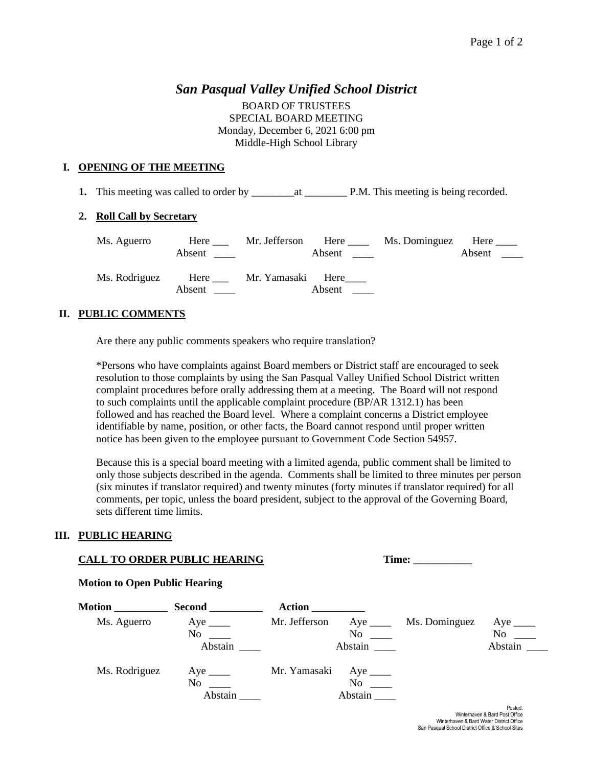# *San Pasqual Valley Unified School District*

BOARD OF TRUSTEES SPECIAL BOARD MEETING Monday, December 6, 2021 6:00 pm Middle-High School Library

# **I. OPENING OF THE MEETING**

**1.** This meeting was called to order by \_\_\_\_\_\_\_\_at \_\_\_\_\_\_\_\_ P.M. This meeting is being recorded.

## **2. Roll Call by Secretary**

| Ms. Aguerro   | Here<br>Absent | Mr. Jefferson          | Here<br>Absent $\qquad$ | Ms. Dominguez | Here $\_\_$<br>Absent |
|---------------|----------------|------------------------|-------------------------|---------------|-----------------------|
| Ms. Rodriguez | Absent         | Here Mr. Yamasaki Here | Absent                  |               |                       |

## **II. PUBLIC COMMENTS**

Are there any public comments speakers who require translation?

\*Persons who have complaints against Board members or District staff are encouraged to seek resolution to those complaints by using the San Pasqual Valley Unified School District written complaint procedures before orally addressing them at a meeting. The Board will not respond to such complaints until the applicable complaint procedure (BP/AR 1312.1) has been followed and has reached the Board level. Where a complaint concerns a District employee identifiable by name, position, or other facts, the Board cannot respond until proper written notice has been given to the employee pursuant to Government Code Section 54957.

Because this is a special board meeting with a limited agenda, public comment shall be limited to only those subjects described in the agenda. Comments shall be limited to three minutes per person (six minutes if translator required) and twenty minutes (forty minutes if translator required) for all comments, per topic, unless the board president, subject to the approval of the Governing Board, sets different time limits.

#### **III. PUBLIC HEARING**

#### **CALL TO ORDER PUBLIC HEARING Time: \_\_\_\_\_\_\_\_\_\_\_**

## Posted: Winterhaven & Bard Post Office Winterhaven & Bard Water District Office San Pasqual School District Office & School Sites **Motion \_\_\_\_\_\_\_\_\_\_ Second \_\_\_\_\_\_\_\_\_\_ Action \_\_\_\_\_\_\_\_\_\_** Ms. Aguerro Aye Mr. Jefferson Aye Ms. Dominguez Aye Ms.  $\frac{A}{V}$ No \_\_\_ No \_\_ Abstain \_\_\_\_ Abstain \_\_\_ Abstain \_\_\_ Abstain \_\_\_ Ms. Rodriguez Aye \_\_\_\_ Mr. Yamasaki Aye \_\_\_\_ No \_\_\_ No \_\_\_ Abstain **Abstain**

#### **Motion to Open Public Hearing**